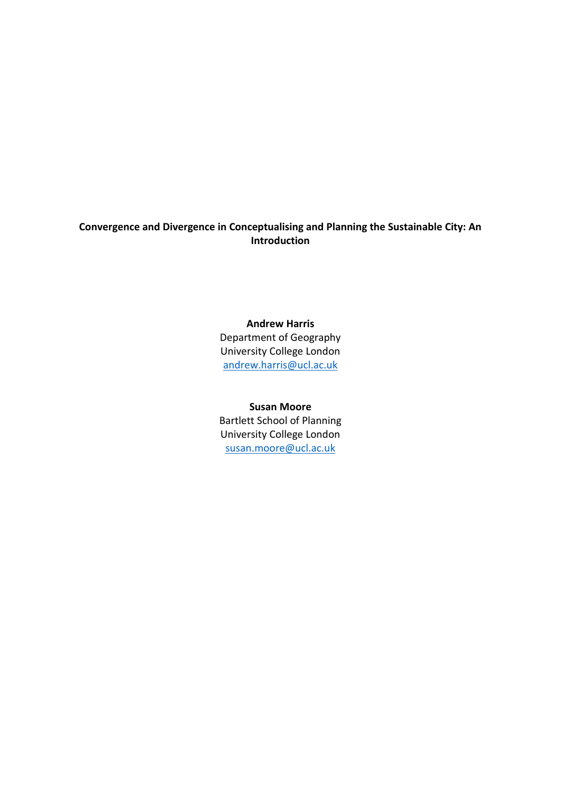# **Convergence and Divergence in Conceptualising and Planning the Sustainable City: An Introduction**

### **Andrew Harris**

Department of Geography University College London [andrew.harris@ucl.ac.uk](mailto:andrew.harris@ucl.ac.uk)

#### **Susan Moore**

Bartlett School of Planning University College London [susan.moore@ucl.ac.uk](mailto:susan.moore@ucl.ac.uk)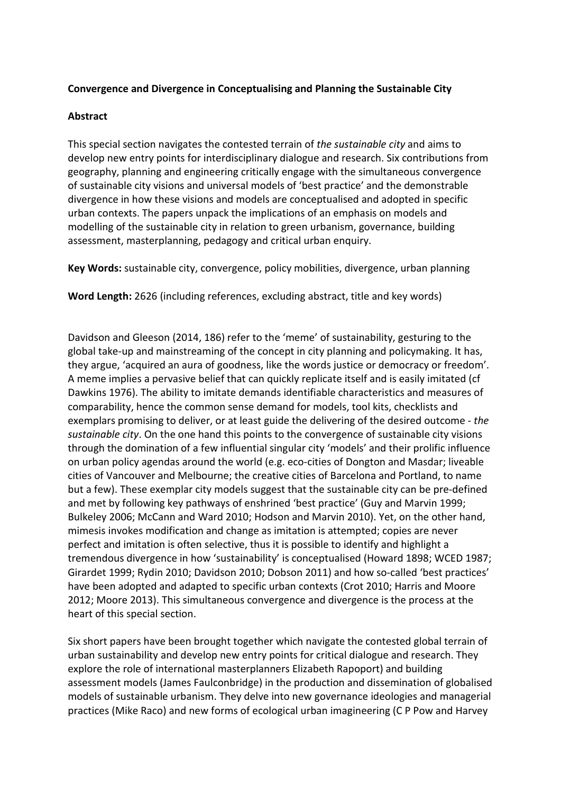## **Convergence and Divergence in Conceptualising and Planning the Sustainable City**

## **Abstract**

This special section navigates the contested terrain of *the sustainable city* and aims to develop new entry points for interdisciplinary dialogue and research. Six contributions from geography, planning and engineering critically engage with the simultaneous convergence of sustainable city visions and universal models of 'best practice' and the demonstrable divergence in how these visions and models are conceptualised and adopted in specific urban contexts. The papers unpack the implications of an emphasis on models and modelling of the sustainable city in relation to green urbanism, governance, building assessment, masterplanning, pedagogy and critical urban enquiry.

**Key Words:** sustainable city, convergence, policy mobilities, divergence, urban planning

**Word Length:** 2626 (including references, excluding abstract, title and key words)

Davidson and Gleeson (2014, 186) refer to the 'meme' of sustainability, gesturing to the global take-up and mainstreaming of the concept in city planning and policymaking. It has, they argue, 'acquired an aura of goodness, like the words justice or democracy or freedom'. A meme implies a pervasive belief that can quickly replicate itself and is easily imitated (cf Dawkins 1976). The ability to imitate demands identifiable characteristics and measures of comparability, hence the common sense demand for models, tool kits, checklists and exemplars promising to deliver, or at least guide the delivering of the desired outcome - *the sustainable city*. On the one hand this points to the convergence of sustainable city visions through the domination of a few influential singular city 'models' and their prolific influence on urban policy agendas around the world (e.g. eco-cities of Dongton and Masdar; liveable cities of Vancouver and Melbourne; the creative cities of Barcelona and Portland, to name but a few). These exemplar city models suggest that the sustainable city can be pre-defined and met by following key pathways of enshrined 'best practice' (Guy and Marvin 1999; Bulkeley 2006; McCann and Ward 2010; Hodson and Marvin 2010). Yet, on the other hand, mimesis invokes modification and change as imitation is attempted; copies are never perfect and imitation is often selective, thus it is possible to identify and highlight a tremendous divergence in how 'sustainability' is conceptualised (Howard 1898; WCED 1987; Girardet 1999; Rydin 2010; Davidson 2010; Dobson 2011) and how so-called 'best practices' have been adopted and adapted to specific urban contexts (Crot 2010; Harris and Moore 2012; Moore 2013). This simultaneous convergence and divergence is the process at the heart of this special section.

Six short papers have been brought together which navigate the contested global terrain of urban sustainability and develop new entry points for critical dialogue and research. They explore the role of international masterplanners Elizabeth Rapoport) and building assessment models (James Faulconbridge) in the production and dissemination of globalised models of sustainable urbanism. They delve into new governance ideologies and managerial practices (Mike Raco) and new forms of ecological urban imagineering (C P Pow and Harvey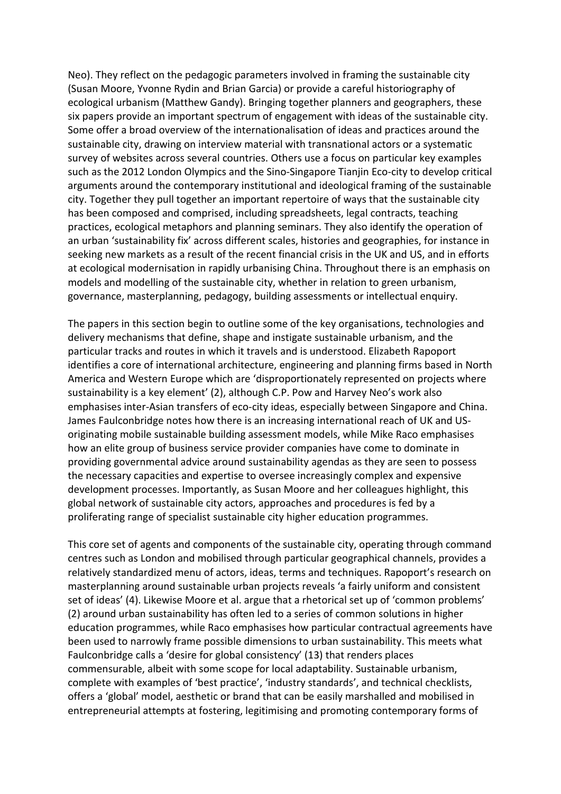Neo). They reflect on the pedagogic parameters involved in framing the sustainable city (Susan Moore, Yvonne Rydin and Brian Garcia) or provide a careful historiography of ecological urbanism (Matthew Gandy). Bringing together planners and geographers, these six papers provide an important spectrum of engagement with ideas of the sustainable city. Some offer a broad overview of the internationalisation of ideas and practices around the sustainable city, drawing on interview material with transnational actors or a systematic survey of websites across several countries. Others use a focus on particular key examples such as the 2012 London Olympics and the Sino-Singapore Tianjin Eco-city to develop critical arguments around the contemporary institutional and ideological framing of the sustainable city. Together they pull together an important repertoire of ways that the sustainable city has been composed and comprised, including spreadsheets, legal contracts, teaching practices, ecological metaphors and planning seminars. They also identify the operation of an urban 'sustainability fix' across different scales, histories and geographies, for instance in seeking new markets as a result of the recent financial crisis in the UK and US, and in efforts at ecological modernisation in rapidly urbanising China. Throughout there is an emphasis on models and modelling of the sustainable city, whether in relation to green urbanism, governance, masterplanning, pedagogy, building assessments or intellectual enquiry.

The papers in this section begin to outline some of the key organisations, technologies and delivery mechanisms that define, shape and instigate sustainable urbanism, and the particular tracks and routes in which it travels and is understood. Elizabeth Rapoport identifies a core of international architecture, engineering and planning firms based in North America and Western Europe which are 'disproportionately represented on projects where sustainability is a key element' (2), although C.P. Pow and Harvey Neo's work also emphasises inter-Asian transfers of eco-city ideas, especially between Singapore and China. James Faulconbridge notes how there is an increasing international reach of UK and USoriginating mobile sustainable building assessment models, while Mike Raco emphasises how an elite group of business service provider companies have come to dominate in providing governmental advice around sustainability agendas as they are seen to possess the necessary capacities and expertise to oversee increasingly complex and expensive development processes. Importantly, as Susan Moore and her colleagues highlight, this global network of sustainable city actors, approaches and procedures is fed by a proliferating range of specialist sustainable city higher education programmes.

This core set of agents and components of the sustainable city, operating through command centres such as London and mobilised through particular geographical channels, provides a relatively standardized menu of actors, ideas, terms and techniques. Rapoport's research on masterplanning around sustainable urban projects reveals 'a fairly uniform and consistent set of ideas' (4). Likewise Moore et al. argue that a rhetorical set up of 'common problems' (2) around urban sustainability has often led to a series of common solutions in higher education programmes, while Raco emphasises how particular contractual agreements have been used to narrowly frame possible dimensions to urban sustainability. This meets what Faulconbridge calls a 'desire for global consistency' (13) that renders places commensurable, albeit with some scope for local adaptability. Sustainable urbanism, complete with examples of 'best practice', 'industry standards', and technical checklists, offers a 'global' model, aesthetic or brand that can be easily marshalled and mobilised in entrepreneurial attempts at fostering, legitimising and promoting contemporary forms of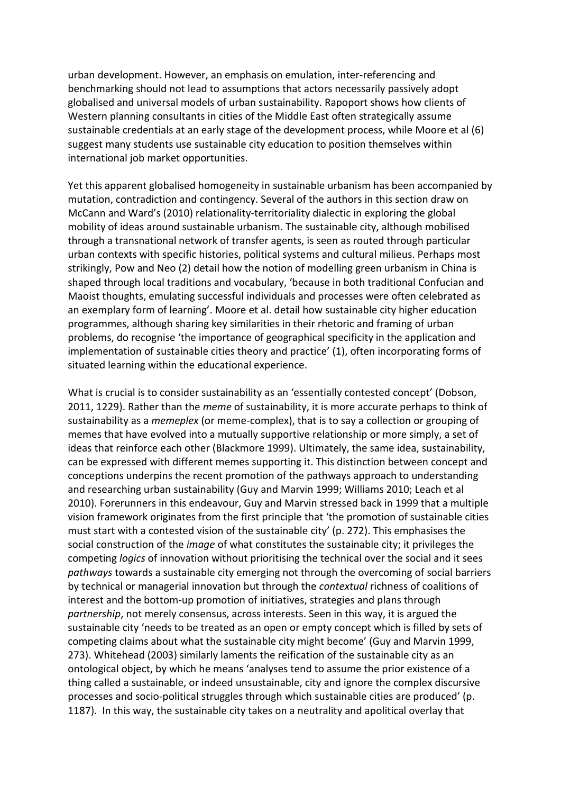urban development. However, an emphasis on emulation, inter-referencing and benchmarking should not lead to assumptions that actors necessarily passively adopt globalised and universal models of urban sustainability. Rapoport shows how clients of Western planning consultants in cities of the Middle East often strategically assume sustainable credentials at an early stage of the development process, while Moore et al (6) suggest many students use sustainable city education to position themselves within international job market opportunities.

Yet this apparent globalised homogeneity in sustainable urbanism has been accompanied by mutation, contradiction and contingency. Several of the authors in this section draw on McCann and Ward's (2010) relationality-territoriality dialectic in exploring the global mobility of ideas around sustainable urbanism. The sustainable city, although mobilised through a transnational network of transfer agents, is seen as routed through particular urban contexts with specific histories, political systems and cultural milieus. Perhaps most strikingly, Pow and Neo (2) detail how the notion of modelling green urbanism in China is shaped through local traditions and vocabulary, 'because in both traditional Confucian and Maoist thoughts, emulating successful individuals and processes were often celebrated as an exemplary form of learning'. Moore et al. detail how sustainable city higher education programmes, although sharing key similarities in their rhetoric and framing of urban problems, do recognise 'the importance of geographical specificity in the application and implementation of sustainable cities theory and practice' (1), often incorporating forms of situated learning within the educational experience.

What is crucial is to consider sustainability as an 'essentially contested concept' (Dobson, 2011, 1229). Rather than the *meme* of sustainability, it is more accurate perhaps to think of sustainability as a *memeplex* (or meme-complex), that is to say a collection or grouping of memes that have evolved into a mutually supportive relationship or more simply, a set of ideas that reinforce each other (Blackmore 1999). Ultimately, the same idea, sustainability, can be expressed with different memes supporting it. This distinction between concept and conceptions underpins the recent promotion of the pathways approach to understanding and researching urban sustainability (Guy and Marvin 1999; Williams 2010; Leach et al 2010). Forerunners in this endeavour, Guy and Marvin stressed back in 1999 that a multiple vision framework originates from the first principle that 'the promotion of sustainable cities must start with a contested vision of the sustainable city' (p. 272). This emphasises the social construction of the *image* of what constitutes the sustainable city; it privileges the competing *logics* of innovation without prioritising the technical over the social and it sees *pathways* towards a sustainable city emerging not through the overcoming of social barriers by technical or managerial innovation but through the *contextual* richness of coalitions of interest and the bottom-up promotion of initiatives, strategies and plans through *partnership*, not merely consensus, across interests. Seen in this way, it is argued the sustainable city 'needs to be treated as an open or empty concept which is filled by sets of competing claims about what the sustainable city might become' (Guy and Marvin 1999, 273). Whitehead (2003) similarly laments the reification of the sustainable city as an ontological object, by which he means 'analyses tend to assume the prior existence of a thing called a sustainable, or indeed unsustainable, city and ignore the complex discursive processes and socio-political struggles through which sustainable cities are produced' (p. 1187). In this way, the sustainable city takes on a neutrality and apolitical overlay that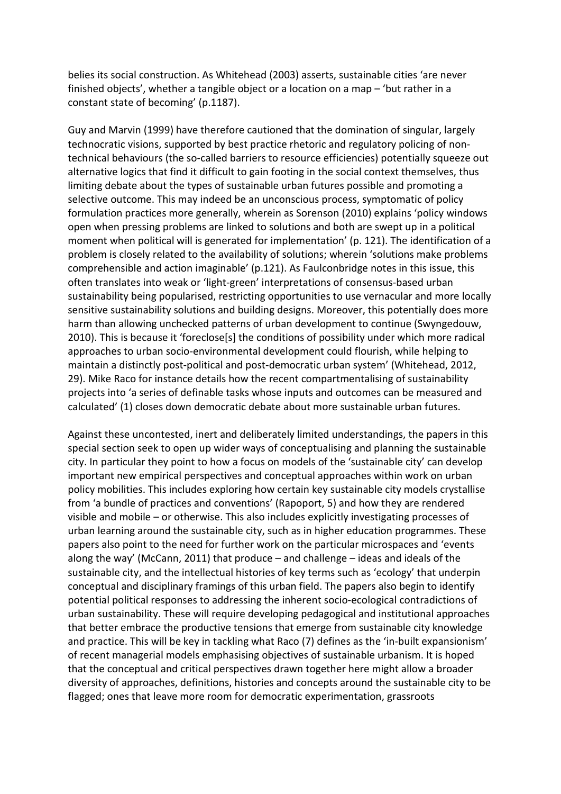belies its social construction. As Whitehead (2003) asserts, sustainable cities 'are never finished objects', whether a tangible object or a location on a map – 'but rather in a constant state of becoming' (p.1187).

Guy and Marvin (1999) have therefore cautioned that the domination of singular, largely technocratic visions, supported by best practice rhetoric and regulatory policing of nontechnical behaviours (the so-called barriers to resource efficiencies) potentially squeeze out alternative logics that find it difficult to gain footing in the social context themselves, thus limiting debate about the types of sustainable urban futures possible and promoting a selective outcome. This may indeed be an unconscious process, symptomatic of policy formulation practices more generally, wherein as Sorenson (2010) explains 'policy windows open when pressing problems are linked to solutions and both are swept up in a political moment when political will is generated for implementation' (p. 121). The identification of a problem is closely related to the availability of solutions; wherein 'solutions make problems comprehensible and action imaginable' (p.121). As Faulconbridge notes in this issue, this often translates into weak or 'light-green' interpretations of consensus-based urban sustainability being popularised, restricting opportunities to use vernacular and more locally sensitive sustainability solutions and building designs. Moreover, this potentially does more harm than allowing unchecked patterns of urban development to continue (Swyngedouw, 2010). This is because it 'foreclose[s] the conditions of possibility under which more radical approaches to urban socio-environmental development could flourish, while helping to maintain a distinctly post-political and post-democratic urban system' (Whitehead, 2012, 29). Mike Raco for instance details how the recent compartmentalising of sustainability projects into 'a series of definable tasks whose inputs and outcomes can be measured and calculated' (1) closes down democratic debate about more sustainable urban futures.

Against these uncontested, inert and deliberately limited understandings, the papers in this special section seek to open up wider ways of conceptualising and planning the sustainable city. In particular they point to how a focus on models of the 'sustainable city' can develop important new empirical perspectives and conceptual approaches within work on urban policy mobilities. This includes exploring how certain key sustainable city models crystallise from 'a bundle of practices and conventions' (Rapoport, 5) and how they are rendered visible and mobile – or otherwise. This also includes explicitly investigating processes of urban learning around the sustainable city, such as in higher education programmes. These papers also point to the need for further work on the particular microspaces and 'events along the way' (McCann, 2011) that produce – and challenge – ideas and ideals of the sustainable city, and the intellectual histories of key terms such as 'ecology' that underpin conceptual and disciplinary framings of this urban field. The papers also begin to identify potential political responses to addressing the inherent socio-ecological contradictions of urban sustainability. These will require developing pedagogical and institutional approaches that better embrace the productive tensions that emerge from sustainable city knowledge and practice. This will be key in tackling what Raco (7) defines as the 'in-built expansionism' of recent managerial models emphasising objectives of sustainable urbanism. It is hoped that the conceptual and critical perspectives drawn together here might allow a broader diversity of approaches, definitions, histories and concepts around the sustainable city to be flagged; ones that leave more room for democratic experimentation, grassroots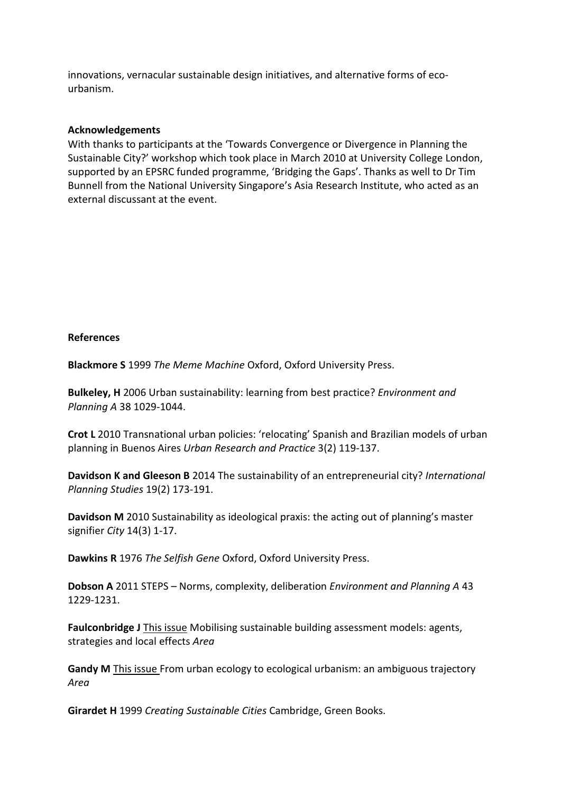innovations, vernacular sustainable design initiatives, and alternative forms of ecourbanism.

## **Acknowledgements**

With thanks to participants at the 'Towards Convergence or Divergence in Planning the Sustainable City?' workshop which took place in March 2010 at University College London, supported by an EPSRC funded programme, 'Bridging the Gaps'. Thanks as well to Dr Tim Bunnell from the National University Singapore's Asia Research Institute, who acted as an external discussant at the event.

## **References**

**Blackmore S** 1999 *The Meme Machine* Oxford, Oxford University Press.

**Bulkeley, H** 2006 Urban sustainability: learning from best practice? *Environment and Planning A* 38 1029-1044.

**Crot L** 2010 Transnational urban policies: 'relocating' Spanish and Brazilian models of urban planning in Buenos Aires *Urban Research and Practice* 3(2) 119-137.

**Davidson K and Gleeson B** 2014 The sustainability of an entrepreneurial city? *International Planning Studies* 19(2) 173-191.

**Davidson M** 2010 Sustainability as ideological praxis: the acting out of planning's master signifier *City* 14(3) 1-17.

**Dawkins R** 1976 *The Selfish Gene* Oxford, Oxford University Press.

**Dobson A** 2011 STEPS – Norms, complexity, deliberation *Environment and Planning A* 43 1229-1231.

**Faulconbridge J** This issue Mobilising sustainable building assessment models: agents, strategies and local effects *Area*

**Gandy M** This issue From urban ecology to ecological urbanism: an ambiguous trajectory *Area*

**Girardet H** 1999 *Creating Sustainable Cities* Cambridge, Green Books.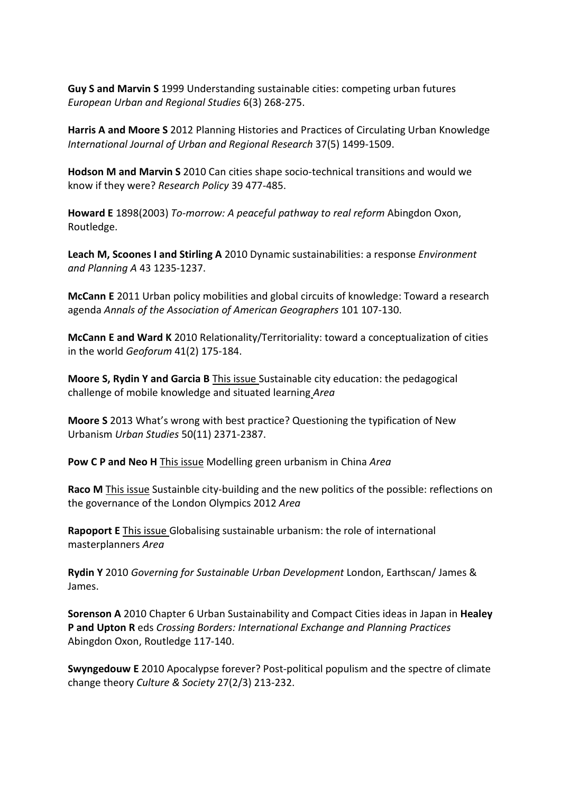**Guy S and Marvin S** 1999 Understanding sustainable cities: competing urban futures *European Urban and Regional Studies* 6(3) 268-275.

**Harris A and Moore S** 2012 Planning Histories and Practices of Circulating Urban Knowledge *International Journal of Urban and Regional Research* 37(5) 1499-1509.

**Hodson M and Marvin S** 2010 Can cities shape socio-technical transitions and would we know if they were? *Research Policy* 39 477-485.

**Howard E** 1898(2003) *To-morrow: A peaceful pathway to real reform* Abingdon Oxon, Routledge.

**Leach M, Scoones I and Stirling A** 2010 Dynamic sustainabilities: a response *Environment and Planning A* 43 1235-1237.

**McCann E** 2011 Urban policy mobilities and global circuits of knowledge: Toward a research agenda *Annals of the Association of American Geographers* 101 107-130.

**McCann E and Ward K** 2010 Relationality/Territoriality: toward a conceptualization of cities in the world *Geoforum* 41(2) 175-184.

**Moore S, Rydin Y and Garcia B** This issue Sustainable city education: the pedagogical challenge of mobile knowledge and situated learning *Area* 

**Moore S** 2013 What's wrong with best practice? Questioning the typification of New Urbanism *Urban Studies* 50(11) 2371-2387.

**Pow C P and Neo H** This issue Modelling green urbanism in China *Area*

**Raco M** This issue Sustainble city-building and the new politics of the possible: reflections on the governance of the London Olympics 2012 *Area*

**Rapoport E** This issue Globalising sustainable urbanism: the role of international masterplanners *Area*

**Rydin Y** 2010 *Governing for Sustainable Urban Development* London, Earthscan/ James & James.

**Sorenson A** 2010 Chapter 6 Urban Sustainability and Compact Cities ideas in Japan in **Healey P and Upton R** eds *Crossing Borders: International Exchange and Planning Practices* Abingdon Oxon, Routledge 117-140.

**Swyngedouw E** 2010 Apocalypse forever? Post-political populism and the spectre of climate change theory *Culture & Society* 27(2/3) 213-232.